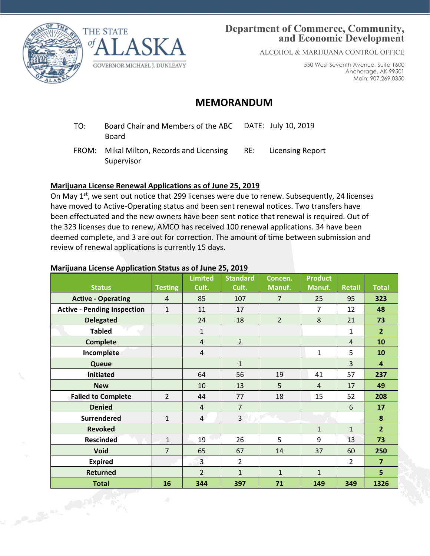

**CALL AND CALL** 



# **Department of Commerce, Community, and Economic Development**

ALCOHOL & MARIJUANA CONTROL OFFICE

550 West Seventh Avenue, Suite 1600 Anchorage, AK 99501 Main: 907.269.0350

# **MEMORANDUM**

- TO: Board Chair and Members of the ABC Board DATE: July 10, 2019
- FROM: Mikal Milton, Records and Licensing Supervisor RE: Licensing Report

## **Marijuana License Renewal Applications as of June 25, 2019**

On May 1<sup>st</sup>, we sent out notice that 299 licenses were due to renew. Subsequently, 24 licenses have moved to Active-Operating status and been sent renewal notices. Two transfers have been effectuated and the new owners have been sent notice that renewal is required. Out of the 323 licenses due to renew, AMCO has received 100 renewal applications. 34 have been deemed complete, and 3 are out for correction. The amount of time between submission and review of renewal applications is currently 15 days.

### **Marijuana License Application Status as of June 25, 2019**

|                                    |                | <b>Limited</b> | <b>Standard</b> | Concen.        | <b>Product</b> |                |                         |
|------------------------------------|----------------|----------------|-----------------|----------------|----------------|----------------|-------------------------|
| <b>Status</b>                      | <b>Testing</b> | Cult.          | Cult.           | Manuf.         | Manuf.         | <b>Retail</b>  | <b>Total</b>            |
| <b>Active - Operating</b>          | $\overline{4}$ | 85             | 107             | $\overline{7}$ | 25             | 95             | 323                     |
| <b>Active - Pending Inspection</b> | $\mathbf{1}$   | 11             | 17              |                | $\overline{7}$ | 12             | 48                      |
| <b>Delegated</b>                   |                | 24             | 18              | $\overline{2}$ | 8              | 21             | 73                      |
| <b>Tabled</b>                      |                | $\mathbf 1$    |                 |                |                | 1              | $\overline{2}$          |
| <b>Complete</b>                    |                | $\overline{a}$ | $\overline{2}$  |                |                | $\overline{4}$ | 10                      |
| Incomplete                         |                | $\overline{4}$ |                 |                | $\mathbf{1}$   | 5              | 10                      |
| Queue                              |                |                | $\mathbf{1}$    |                |                | 3              | $\overline{\mathbf{4}}$ |
| <b>Initiated</b>                   |                | 64             | 56              | 19             | 41             | 57             | 237                     |
| <b>New</b>                         |                | 10             | 13              | 5              | $\overline{4}$ | 17             | 49                      |
| <b>Failed to Complete</b>          | $\overline{2}$ | 44             | 77              | 18             | 15             | 52             | 208                     |
| <b>Denied</b>                      |                | $\overline{4}$ | $\overline{7}$  |                |                | 6              | 17                      |
| <b>Surrendered</b>                 | $\mathbf{1}$   | $\overline{4}$ | 3               |                |                |                | 8                       |
| <b>Revoked</b>                     |                |                |                 |                | $\mathbf{1}$   | $\mathbf{1}$   | $\overline{2}$          |
| <b>Rescinded</b>                   | $\mathbf{1}$   | 19             | 26              | 5              | 9              | 13             | 73                      |
| <b>Void</b>                        | $\overline{7}$ | 65             | 67              | 14             | 37             | 60             | 250                     |
| <b>Expired</b>                     |                | $\overline{3}$ | $\overline{2}$  |                |                | $\overline{2}$ | $\overline{7}$          |
| <b>Returned</b>                    |                | $\overline{2}$ | $\mathbf{1}$    | $\mathbf{1}$   | $\mathbf{1}$   |                | 5                       |
| <b>Total</b>                       | 16             | 344            | 397             | 71             | 149            | 349            | 1326                    |